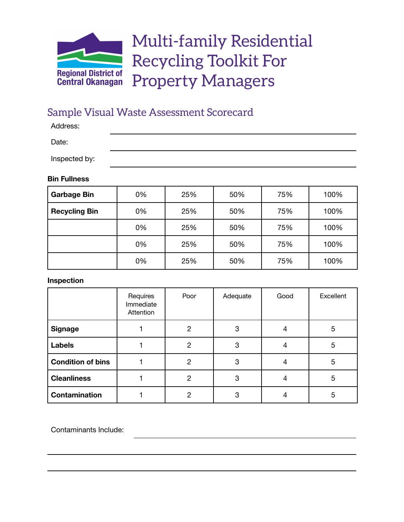

# Multi-family Residential Recycling Toolkit For Property Managers

## Sample Visual Waste Assessment Scorecard

Address:

Date:

Inspected by:

#### **Bin Fullness**

| <b>Garbage Bin</b>   | 0% | 25% | 50% | 75% | 100% |
|----------------------|----|-----|-----|-----|------|
| <b>Recycling Bin</b> | 0% | 25% | 50% | 75% | 100% |
|                      | 0% | 25% | 50% | 75% | 100% |
|                      | 0% | 25% | 50% | 75% | 100% |
|                      | 0% | 25% | 50% | 75% | 100% |

#### **Inspection**

|                          | Requires<br>Immediate<br>Attention | Poor           | Adequate | Good | Excellent |
|--------------------------|------------------------------------|----------------|----------|------|-----------|
| <b>Signage</b>           |                                    | 2              | 3        |      | 5         |
| <b>Labels</b>            |                                    | $\overline{2}$ | 3        |      | 5         |
| <b>Condition of bins</b> |                                    | $\overline{2}$ | 3        |      | 5         |
| <b>Cleanliness</b>       |                                    | 2              | 3        |      | 5         |
| Contamination            |                                    | $\overline{2}$ | 3        |      | 5         |

Contaminants Include: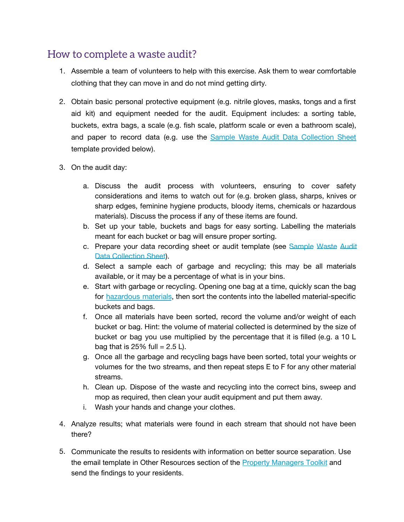## How to complete a waste audit?

- 1. Assemble a team of volunteers to help with this exercise. Ask them to wear comfortable clothing that they can move in and do not mind getting dirty.
- 2. Obtain basic personal protective equipment (e.g. nitrile gloves, masks, tongs and a first aid kit) and equipment needed for the audit. Equipment includes: a sorting table, buckets, extra bags, a scale (e.g. fish scale, platform scale or even a bathroom scale), and paper to record data (e.g. use the [Sample Waste Audit Data Collection Sheet](#page-2-0) template provided below).
- 3. On the audit day:
	- a. Discuss the audit process with volunteers, ensuring to cover safety considerations and items to watch out for (e.g. broken glass, sharps, knives or sharp edges, feminine hygiene products, bloody items, chemicals or hazardous materials). Discuss the process if any of these items are found.
	- b. Set up your table, buckets and bags for easy sorting. Labelling the materials meant for each bucket or bag will ensure proper sorting.
	- c. Prepare your data recording sheet or audit template (see [Sample](#page-2-0) Waste Audit [Data Collection Sheet\)](#page-2-0).
	- d. Select a sample each of garbage and recycling; this may be all materials available, or it may be a percentage of what is in your bins.
	- e. Start with garbage or recycling. Opening one bag at a time, quickly scan the bag for [hazardous materials](https://www.rdco.com/en/living-here/resources/Waste-Reduction/Documents/HHW_Brochure.pdf), then sort the contents into the labelled material-specific buckets and bags.
	- f. Once all materials have been sorted, record the volume and/or weight of each bucket or bag. Hint: the volume of material collected is determined by the size of bucket or bag you use multiplied by the percentage that it is filled (e.g. a 10 L bag that is 25% full  $= 2.5$  L).
	- g. Once all the garbage and recycling bags have been sorted, total your weights or volumes for the two streams, and then repeat steps E to F for any other material streams.
	- h. Clean up. Dispose of the waste and recycling into the correct bins, sweep and mop as required, then clean your audit equipment and put them away.
	- i. Wash your hands and change your clothes.
- 4. Analyze results; what materials were found in each stream that should not have been there?
- 5. Communicate the results to residents with information on better source separation. Use the email template in Other Resources section of the [Property Managers Toolkit](https://www.rdco.com/en/living-here/resources/Waste-Reduction/Multifamily-Resources/Multifamily-Toolkit-For-Property-Managers.pdf) and send the findings to your residents.